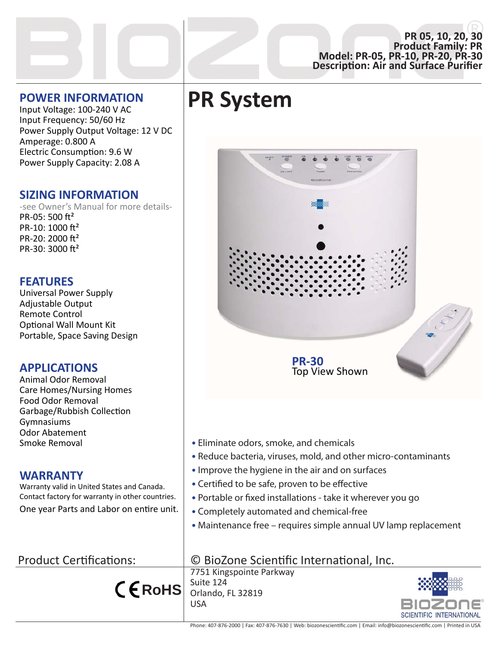#### **PR 05, 10, 20, 30 Product Family: PR Model: PR-05, PR-10, PR-20, PR-30 DescripƟon: Air and Surface Purifier**

### **POWER INFORMATION**

Input Voltage: 100-240 V AC Input Frequency: 50/60 Hz Power Supply Output Voltage: 12 V DC Amperage: 0.800 A Electric Consumption: 9.6 W Power Supply Capacity: 2.08 A

## **SIZING INFORMATION**

-see Owner's Manual for more details-PR-05: 500  $ft^2$ PR-10: 1000  $ft^2$ PR-20: 2000  $ft^2$ PR-30: 3000  $ft^2$ 

### **FEATURES**

Universal Power Supply Adjustable Output Remote Control Optional Wall Mount Kit Portable, Space Saving Design

## **APPLICATIONS**

Animal Odor Removal Care Homes/Nursing Homes Food Odor Removal Garbage/Rubbish Collection Gymnasiums Odor Abatement Smoke Removal

### **WARRANTY**

Warranty valid in United States and Canada. Contact factory for warranty in other countries. One year Parts and Labor on entire unit.

# Product Certifications:

**RoHS**

**PR System**



- Eliminate odors, smoke, and chemicals
- Reduce bacteria, viruses, mold, and other micro-contaminants
- Improve the hygiene in the air and on surfaces
- Certified to be safe, proven to be effective
- Portable or fixed installations take it wherever you go
- Completely automated and chemical-free
- Maintenance free requires simple annual UV lamp replacement

# © BioZone Scientific International, Inc.

7751 Kingspointe Parkway Suite 124 Orlando, FL 32819 USA



Phone: 407-876-2000 | Fax: 407-876-7630 | Web: biozonescientific.com | Email: info@biozonescientific.com | Printed in USA